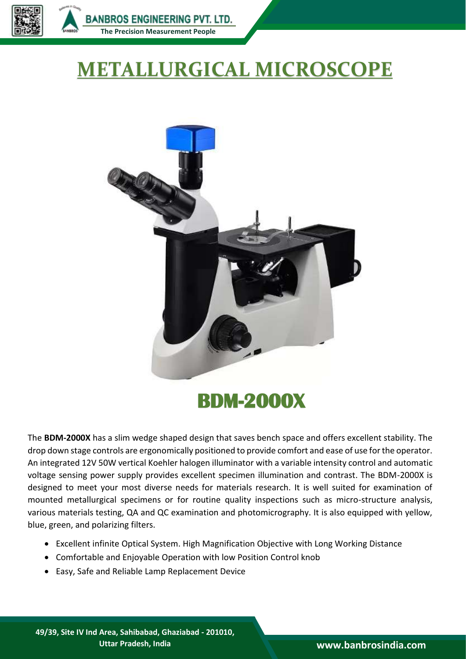

**BANBROS ENGINEERING PVT. LTD. [The Precision Measurement People](https://banbrosindia.com/index.php)**

## **METALLURGICAL MICROSCOPE**



## **BDM-2000X**

The **BDM-2000X** has a slim wedge shaped design that saves bench space and offers excellent stability. The drop down stage controls are ergonomically positioned to provide comfort and ease of use for the operator. An integrated 12V 50W vertical Koehler halogen illuminator with a variable intensity control and automatic voltage sensing power supply provides excellent specimen illumination and contrast. The BDM-2000X is designed to meet your most diverse needs for materials research. It is well suited for examination of mounted metallurgical specimens or for routine quality inspections such as micro-structure analysis, various materials testing, QA and QC examination and photomicrography. It is also equipped with yellow, blue, green, and polarizing filters.

- Excellent infinite Optical System. High Magnification Objective with Long Working Distance
- Comfortable and Enjoyable Operation with low Position Control knob
- Easy, Safe and Reliable Lamp Replacement Device